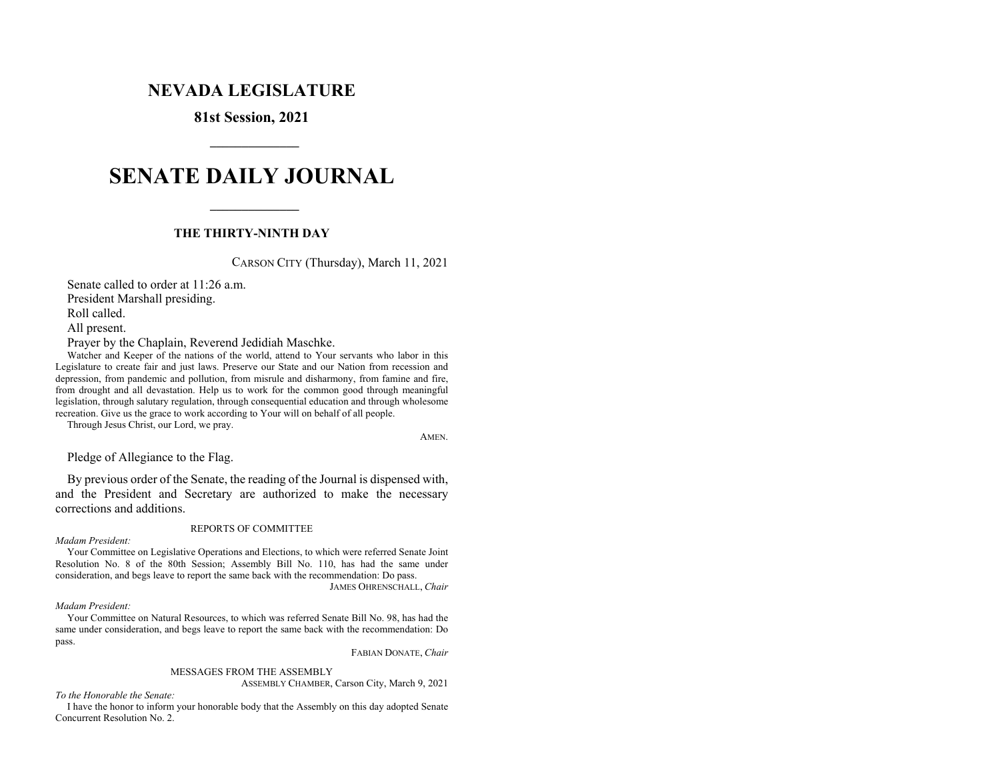# **NEVADA LEGISLATURE**

**81st Session, 2021** 

# **SENATE DAILY JOURNAL**

# **THE THIRTY-NINTH DAY**

CARSON CITY (Thursday), March 11, 2021

 Senate called to order at 11:26 a.m. President Marshall presiding. Roll called. All present.

 **\_\_\_\_\_\_\_\_\_\_\_\_\_\_** 

 **\_\_\_\_\_\_\_\_\_\_\_\_\_\_** 

Prayer by the Chaplain, Reverend Jedidiah Maschke.

Watcher and Keeper of the nations of the world, attend to Your servants who labor in this Legislature to create fair and just laws. Preserve our State and our Nation from recession and depression, from pandemic and pollution, from misrule and disharmony, from famine and fire, from drought and all devastation. Help us to work for the common good through meaningful legislation, through salutary regulation, through consequential education and through wholesome recreation. Give us the grace to work according to Your will on behalf of all people.

Through Jesus Christ, our Lord, we pray.

AMEN.

Pledge of Allegiance to the Flag.

 By previous order of the Senate, the reading of the Journal is dispensed with, and the President and Secretary are authorized to make the necessary corrections and additions.

#### REPORTS OF COMMITTEE

#### *Madam President:*

 Your Committee on Legislative Operations and Elections, to which were referred Senate Joint Resolution No. 8 of the 80th Session; Assembly Bill No. 110, has had the same under consideration, and begs leave to report the same back with the recommendation: Do pass. JAMES OHRENSCHALL, *Chair* 

#### *Madam President:*

 Your Committee on Natural Resources, to which was referred Senate Bill No. 98, has had the same under consideration, and begs leave to report the same back with the recommendation: Do pass.

FABIAN DONATE, *Chair* 

#### MESSAGES FROM THE ASSEMBLY

ASSEMBLY CHAMBER, Carson City, March 9, 2021

*To the Honorable the Senate:* 

 I have the honor to inform your honorable body that the Assembly on this day adopted Senate Concurrent Resolution No. 2.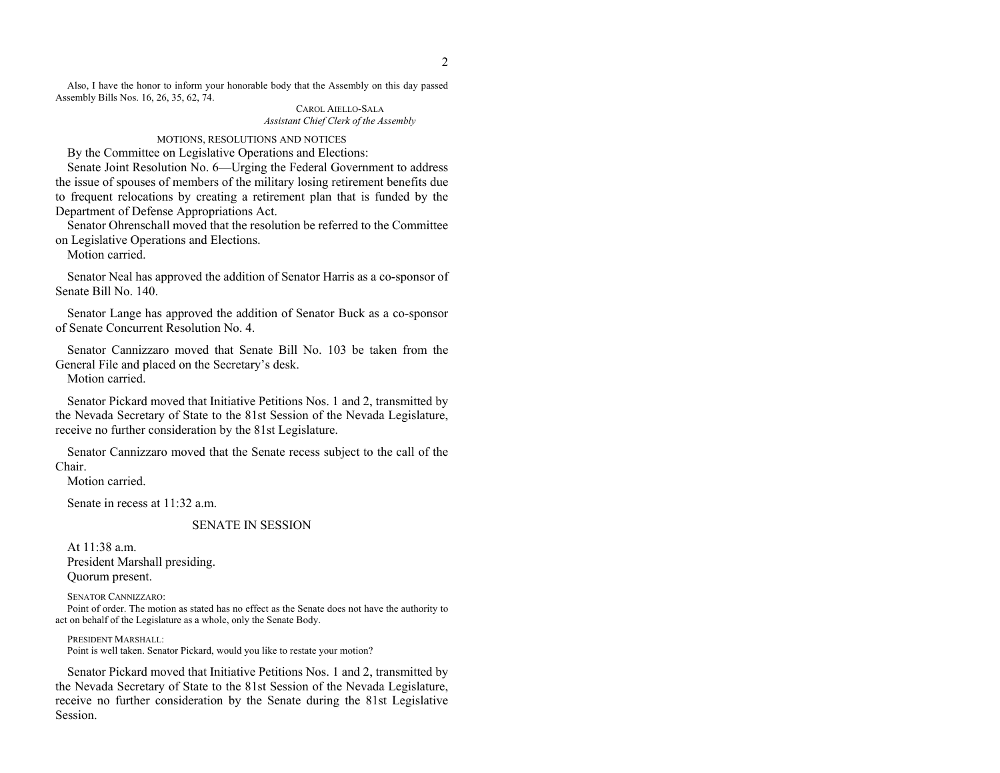Also, I have the honor to inform your honorable body that the Assembly on this day passed Assembly Bills Nos. 16, 26, 35, 62, 74.

#### CAROL AIELLO-SALA *Assistant Chief Clerk of the Assembly*

#### MOTIONS, RESOLUTIONS AND NOTICES

By the Committee on Legislative Operations and Elections:

 Senate Joint Resolution No. 6—Urging the Federal Government to address the issue of spouses of members of the military losing retirement benefits due to frequent relocations by creating a retirement plan that is funded by the Department of Defense Appropriations Act.

 Senator Ohrenschall moved that the resolution be referred to the Committee on Legislative Operations and Elections.

Motion carried.

 Senator Neal has approved the addition of Senator Harris as a co-sponsor of Senate Bill No. 140.

 Senator Lange has approved the addition of Senator Buck as a co-sponsor of Senate Concurrent Resolution No. 4.

 Senator Cannizzaro moved that Senate Bill No. 103 be taken from the General File and placed on the Secretary's desk.

Motion carried.

 Senator Pickard moved that Initiative Petitions Nos. 1 and 2, transmitted by the Nevada Secretary of State to the 81st Session of the Nevada Legislature, receive no further consideration by the 81st Legislature.

 Senator Cannizzaro moved that the Senate recess subject to the call of the Chair.

Motion carried.

Senate in recess at 11:32 a.m.

### SENATE IN SESSION

 At 11:38 a.m. President Marshall presiding. Quorum present.

SENATOR CANNIZZARO: Point of order. The motion as stated has no effect as the Senate does not have the authority to act on behalf of the Legislature as a whole, only the Senate Body.

 PRESIDENT MARSHALL: Point is well taken. Senator Pickard, would you like to restate your motion?

Senator Pickard moved that Initiative Petitions Nos. 1 and 2, transmitted by the Nevada Secretary of State to the 81st Session of the Nevada Legislature, receive no further consideration by the Senate during the 81st Legislative Session.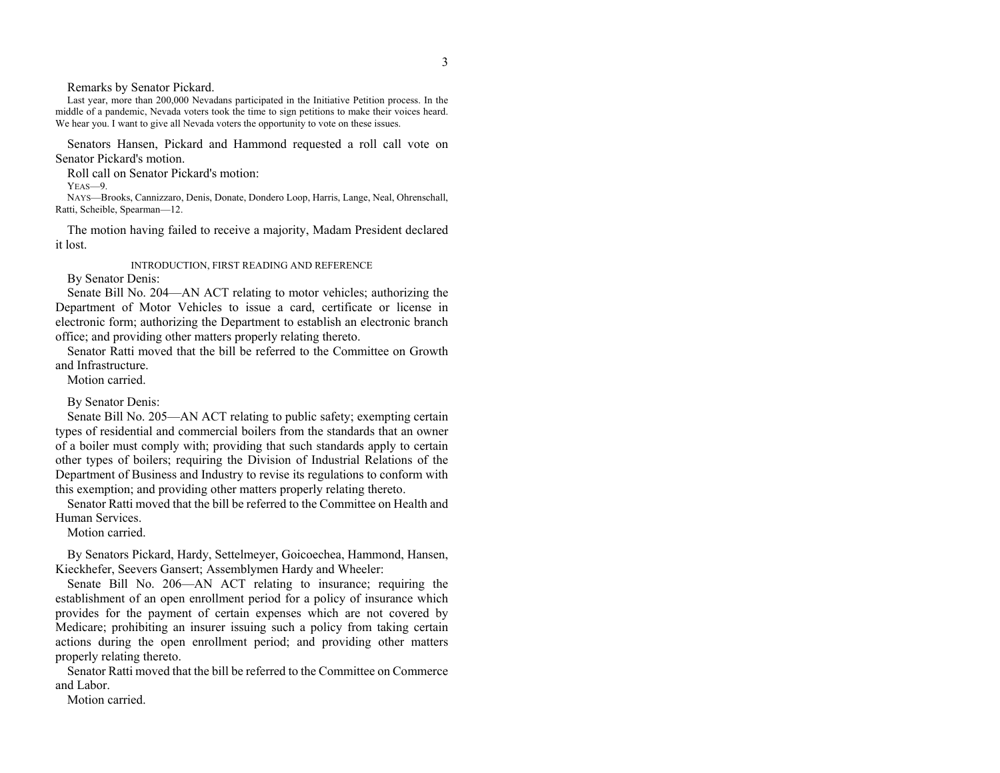Remarks by Senator Pickard.

 Last year, more than 200,000 Nevadans participated in the Initiative Petition process. In the middle of a pandemic, Nevada voters took the time to sign petitions to make their voices heard. We hear you. I want to give all Nevada voters the opportunity to vote on these issues.

 Senators Hansen, Pickard and Hammond requested a roll call vote on Senator Pickard's motion.

Roll call on Senator Pickard's motion:

YEAS—9.

 NAYS—Brooks, Cannizzaro, Denis, Donate, Dondero Loop, Harris, Lange, Neal, Ohrenschall, Ratti, Scheible, Spearman—12.

 The motion having failed to receive a majority, Madam President declared it lost.

INTRODUCTION, FIRST READING AND REFERENCE

By Senator Denis:

 Senate Bill No. 204—AN ACT relating to motor vehicles; authorizing the Department of Motor Vehicles to issue a card, certificate or license in electronic form; authorizing the Department to establish an electronic branch office; and providing other matters properly relating thereto.

 Senator Ratti moved that the bill be referred to the Committee on Growth and Infrastructure.

Motion carried.

By Senator Denis:

 Senate Bill No. 205—AN ACT relating to public safety; exempting certain types of residential and commercial boilers from the standards that an owner of a boiler must comply with; providing that such standards apply to certain other types of boilers; requiring the Division of Industrial Relations of the Department of Business and Industry to revise its regulations to conform with this exemption; and providing other matters properly relating thereto.

 Senator Ratti moved that the bill be referred to the Committee on Health and Human Services.

Motion carried.

 By Senators Pickard, Hardy, Settelmeyer, Goicoechea, Hammond, Hansen, Kieckhefer, Seevers Gansert; Assemblymen Hardy and Wheeler:

 Senate Bill No. 206—AN ACT relating to insurance; requiring the establishment of an open enrollment period for a policy of insurance which provides for the payment of certain expenses which are not covered by Medicare; prohibiting an insurer issuing such a policy from taking certain actions during the open enrollment period; and providing other matters properly relating thereto.

 Senator Ratti moved that the bill be referred to the Committee on Commerce and Labor.

Motion carried.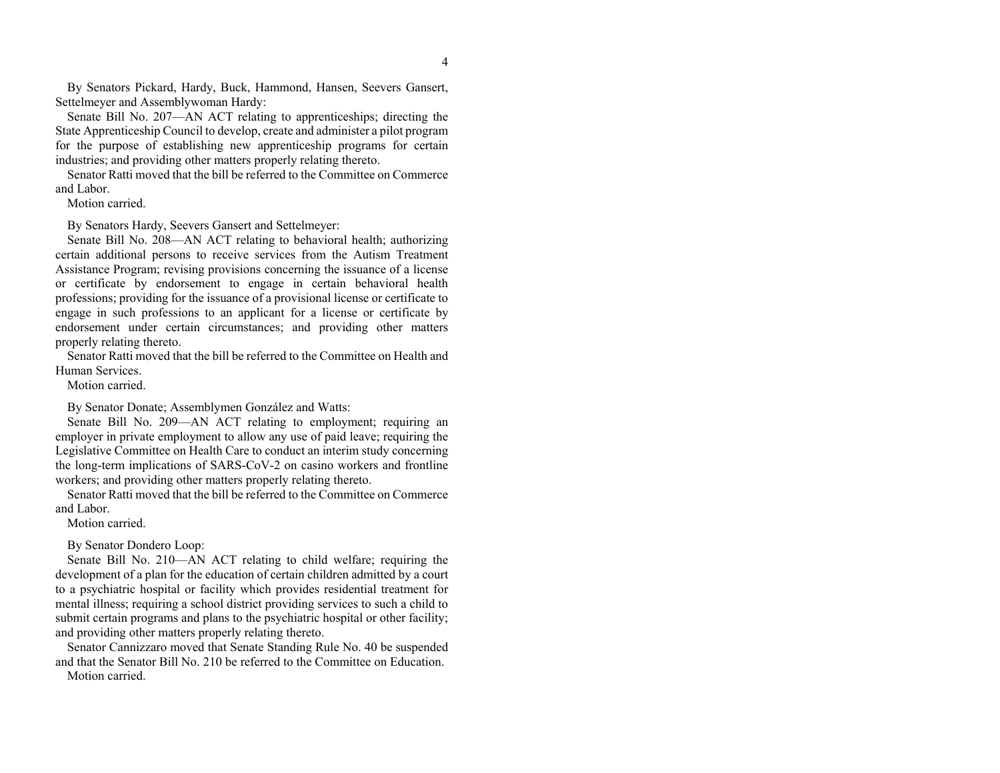By Senators Pickard, Hardy, Buck, Hammond, Hansen, Seevers Gansert, Settelmeyer and Assemblywoman Hardy:

 Senate Bill No. 207—AN ACT relating to apprenticeships; directing the State Apprenticeship Council to develop, create and administer a pilot program for the purpose of establishing new apprenticeship programs for certain industries; and providing other matters properly relating thereto.

 Senator Ratti moved that the bill be referred to the Committee on Commerce and Labor.

Motion carried.

By Senators Hardy, Seevers Gansert and Settelmeyer:

 Senate Bill No. 208—AN ACT relating to behavioral health; authorizing certain additional persons to receive services from the Autism Treatment Assistance Program; revising provisions concerning the issuance of a license or certificate by endorsement to engage in certain behavioral health professions; providing for the issuance of a provisional license or certificate to engage in such professions to an applicant for a license or certificate by endorsement under certain circumstances; and providing other matters properly relating thereto.

 Senator Ratti moved that the bill be referred to the Committee on Health and Human Services.

Motion carried.

By Senator Donate; Assemblymen González and Watts:

 Senate Bill No. 209—AN ACT relating to employment; requiring an employer in private employment to allow any use of paid leave; requiring the Legislative Committee on Health Care to conduct an interim study concerning the long-term implications of SARS-CoV-2 on casino workers and frontline workers; and providing other matters properly relating thereto.

 Senator Ratti moved that the bill be referred to the Committee on Commerce and Labor.

Motion carried.

By Senator Dondero Loop:

 Senate Bill No. 210—AN ACT relating to child welfare; requiring the development of a plan for the education of certain children admitted by a court to a psychiatric hospital or facility which provides residential treatment for mental illness; requiring a school district providing services to such a child to submit certain programs and plans to the psychiatric hospital or other facility; and providing other matters properly relating thereto.

 Senator Cannizzaro moved that Senate Standing Rule No. 40 be suspended and that the Senator Bill No. 210 be referred to the Committee on Education. Motion carried.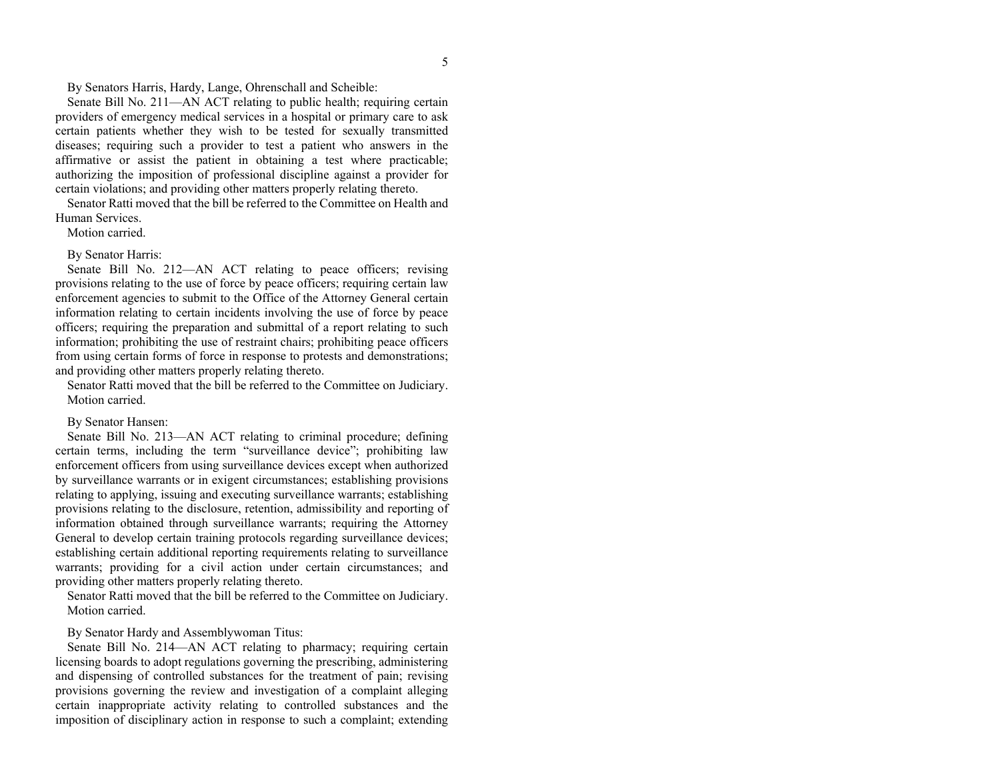By Senators Harris, Hardy, Lange, Ohrenschall and Scheible:

 Senate Bill No. 211—AN ACT relating to public health; requiring certain providers of emergency medical services in a hospital or primary care to ask certain patients whether they wish to be tested for sexually transmitted diseases; requiring such a provider to test a patient who answers in the affirmative or assist the patient in obtaining a test where practicable; authorizing the imposition of professional discipline against a provider for certain violations; and providing other matters properly relating thereto.

 Senator Ratti moved that the bill be referred to the Committee on Health and Human Services.

Motion carried.

# By Senator Harris:

 Senate Bill No. 212—AN ACT relating to peace officers; revising provisions relating to the use of force by peace officers; requiring certain law enforcement agencies to submit to the Office of the Attorney General certain information relating to certain incidents involving the use of force by peace officers; requiring the preparation and submittal of a report relating to such information; prohibiting the use of restraint chairs; prohibiting peace officers from using certain forms of force in response to protests and demonstrations; and providing other matters properly relating thereto.

 Senator Ratti moved that the bill be referred to the Committee on Judiciary. Motion carried.

# By Senator Hansen:

 Senate Bill No. 213—AN ACT relating to criminal procedure; defining certain terms, including the term "surveillance device"; prohibiting law enforcement officers from using surveillance devices except when authorized by surveillance warrants or in exigent circumstances; establishing provisions relating to applying, issuing and executing surveillance warrants; establishing provisions relating to the disclosure, retention, admissibility and reporting of information obtained through surveillance warrants; requiring the Attorney General to develop certain training protocols regarding surveillance devices; establishing certain additional reporting requirements relating to surveillance warrants; providing for a civil action under certain circumstances; and providing other matters properly relating thereto.

 Senator Ratti moved that the bill be referred to the Committee on Judiciary. Motion carried.

By Senator Hardy and Assemblywoman Titus:

 Senate Bill No. 214—AN ACT relating to pharmacy; requiring certain licensing boards to adopt regulations governing the prescribing, administering and dispensing of controlled substances for the treatment of pain; revising provisions governing the review and investigation of a complaint alleging certain inappropriate activity relating to controlled substances and the imposition of disciplinary action in response to such a complaint; extending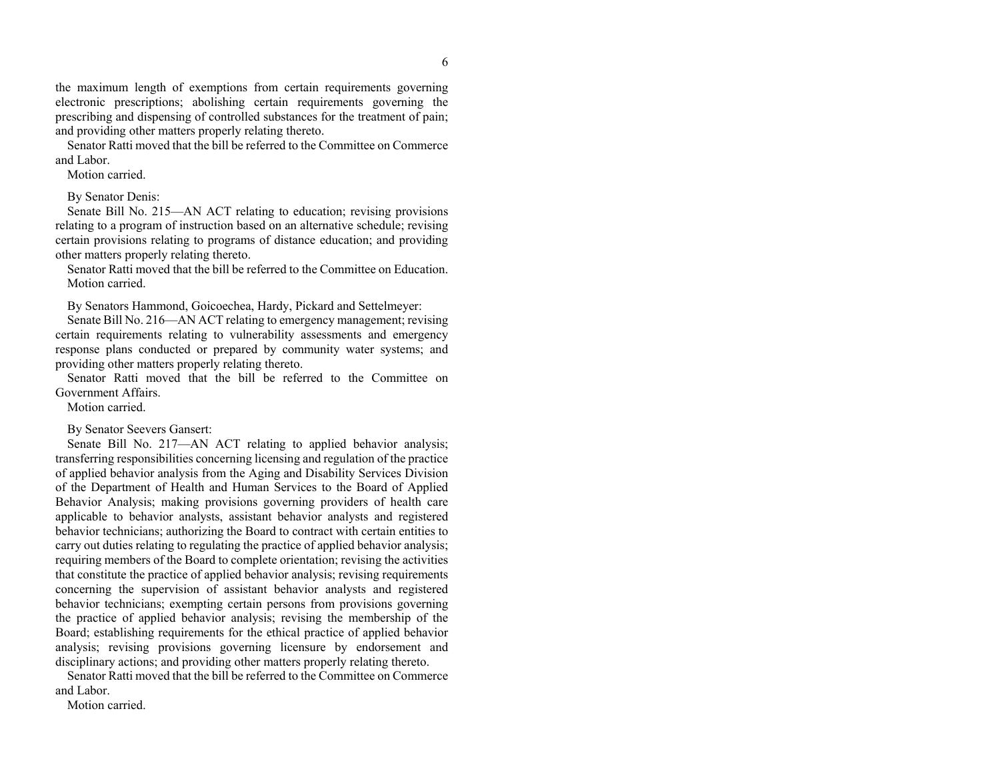the maximum length of exemptions from certain requirements governing electronic prescriptions; abolishing certain requirements governing the prescribing and dispensing of controlled substances for the treatment of pain; and providing other matters properly relating thereto.

 Senator Ratti moved that the bill be referred to the Committee on Commerce and Labor.

Motion carried.

By Senator Denis:

 Senate Bill No. 215—AN ACT relating to education; revising provisions relating to a program of instruction based on an alternative schedule; revising certain provisions relating to programs of distance education; and providing other matters properly relating thereto.

 Senator Ratti moved that the bill be referred to the Committee on Education. Motion carried.

By Senators Hammond, Goicoechea, Hardy, Pickard and Settelmeyer:

 Senate Bill No. 216—AN ACT relating to emergency management; revising certain requirements relating to vulnerability assessments and emergency response plans conducted or prepared by community water systems; and providing other matters properly relating thereto.

 Senator Ratti moved that the bill be referred to the Committee on Government Affairs.

Motion carried.

By Senator Seevers Gansert:

Senate Bill No. 217—AN ACT relating to applied behavior analysis; transferring responsibilities concerning licensing and regulation of the practice of applied behavior analysis from the Aging and Disability Services Division of the Department of Health and Human Services to the Board of Applied Behavior Analysis; making provisions governing providers of health care applicable to behavior analysts, assistant behavior analysts and registered behavior technicians; authorizing the Board to contract with certain entities to carry out duties relating to regulating the practice of applied behavior analysis; requiring members of the Board to complete orientation; revising the activities that constitute the practice of applied behavior analysis; revising requirements concerning the supervision of assistant behavior analysts and registered behavior technicians; exempting certain persons from provisions governing the practice of applied behavior analysis; revising the membership of the Board; establishing requirements for the ethical practice of applied behavior analysis; revising provisions governing licensure by endorsement and disciplinary actions; and providing other matters properly relating thereto.

 Senator Ratti moved that the bill be referred to the Committee on Commerce and Labor.

Motion carried.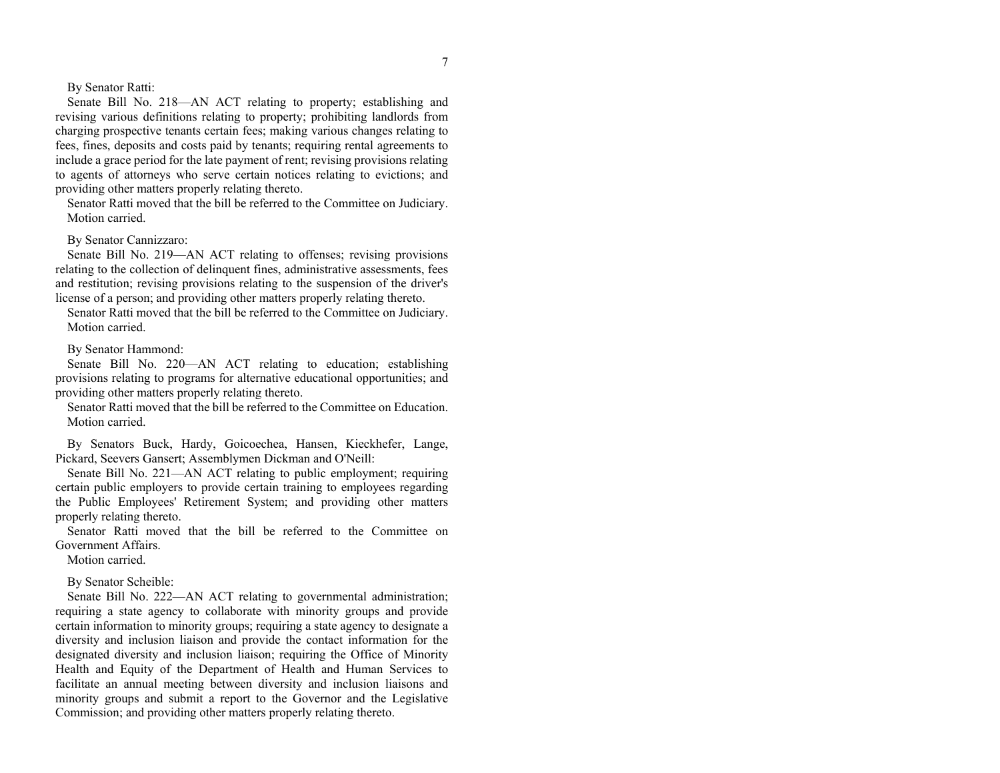By Senator Ratti:

 Senate Bill No. 218—AN ACT relating to property; establishing and revising various definitions relating to property; prohibiting landlords from charging prospective tenants certain fees; making various changes relating to fees, fines, deposits and costs paid by tenants; requiring rental agreements to include a grace period for the late payment of rent; revising provisions relating to agents of attorneys who serve certain notices relating to evictions; and providing other matters properly relating thereto.

 Senator Ratti moved that the bill be referred to the Committee on Judiciary. Motion carried.

# By Senator Cannizzaro:

 Senate Bill No. 219—AN ACT relating to offenses; revising provisions relating to the collection of delinquent fines, administrative assessments, fees and restitution; revising provisions relating to the suspension of the driver's license of a person; and providing other matters properly relating thereto.

 Senator Ratti moved that the bill be referred to the Committee on Judiciary. Motion carried.

By Senator Hammond:

 Senate Bill No. 220—AN ACT relating to education; establishing provisions relating to programs for alternative educational opportunities; and providing other matters properly relating thereto.

 Senator Ratti moved that the bill be referred to the Committee on Education. Motion carried.

 By Senators Buck, Hardy, Goicoechea, Hansen, Kieckhefer, Lange, Pickard, Seevers Gansert; Assemblymen Dickman and O'Neill:

 Senate Bill No. 221—AN ACT relating to public employment; requiring certain public employers to provide certain training to employees regarding the Public Employees' Retirement System; and providing other matters properly relating thereto.

 Senator Ratti moved that the bill be referred to the Committee on Government Affairs.

Motion carried.

By Senator Scheible:

 Senate Bill No. 222—AN ACT relating to governmental administration; requiring a state agency to collaborate with minority groups and provide certain information to minority groups; requiring a state agency to designate a diversity and inclusion liaison and provide the contact information for the designated diversity and inclusion liaison; requiring the Office of Minority Health and Equity of the Department of Health and Human Services to facilitate an annual meeting between diversity and inclusion liaisons and minority groups and submit a report to the Governor and the Legislative Commission; and providing other matters properly relating thereto.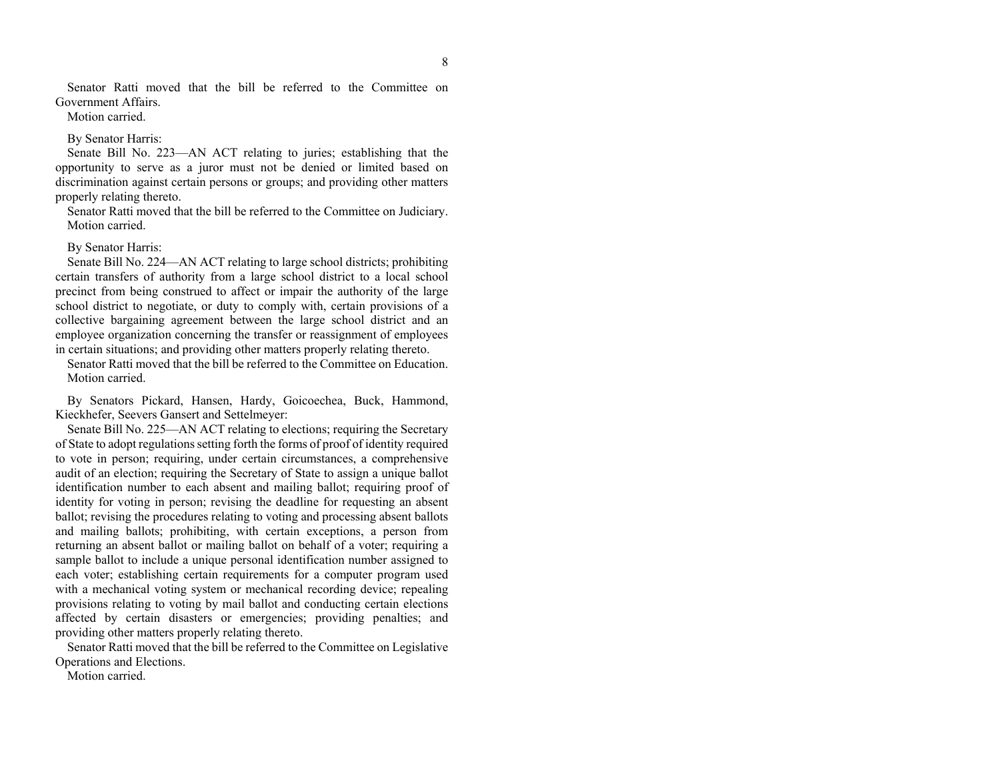Senator Ratti moved that the bill be referred to the Committee on Government Affairs.

Motion carried.

By Senator Harris:

 Senate Bill No. 223—AN ACT relating to juries; establishing that the opportunity to serve as a juror must not be denied or limited based on discrimination against certain persons or groups; and providing other matters properly relating thereto.

 Senator Ratti moved that the bill be referred to the Committee on Judiciary. Motion carried.

#### By Senator Harris:

 Senate Bill No. 224—AN ACT relating to large school districts; prohibiting certain transfers of authority from a large school district to a local school precinct from being construed to affect or impair the authority of the large school district to negotiate, or duty to comply with, certain provisions of a collective bargaining agreement between the large school district and an employee organization concerning the transfer or reassignment of employees in certain situations; and providing other matters properly relating thereto.

 Senator Ratti moved that the bill be referred to the Committee on Education. Motion carried.

 By Senators Pickard, Hansen, Hardy, Goicoechea, Buck, Hammond, Kieckhefer, Seevers Gansert and Settelmeyer:

 Senate Bill No. 225—AN ACT relating to elections; requiring the Secretary of State to adopt regulations setting forth the forms of proof of identity required to vote in person; requiring, under certain circumstances, a comprehensive audit of an election; requiring the Secretary of State to assign a unique ballot identification number to each absent and mailing ballot; requiring proof of identity for voting in person; revising the deadline for requesting an absent ballot; revising the procedures relating to voting and processing absent ballots and mailing ballots; prohibiting, with certain exceptions, a person from returning an absent ballot or mailing ballot on behalf of a voter; requiring a sample ballot to include a unique personal identification number assigned to each voter; establishing certain requirements for a computer program used with a mechanical voting system or mechanical recording device; repealing provisions relating to voting by mail ballot and conducting certain elections affected by certain disasters or emergencies; providing penalties; and providing other matters properly relating thereto.

 Senator Ratti moved that the bill be referred to the Committee on Legislative Operations and Elections.

Motion carried.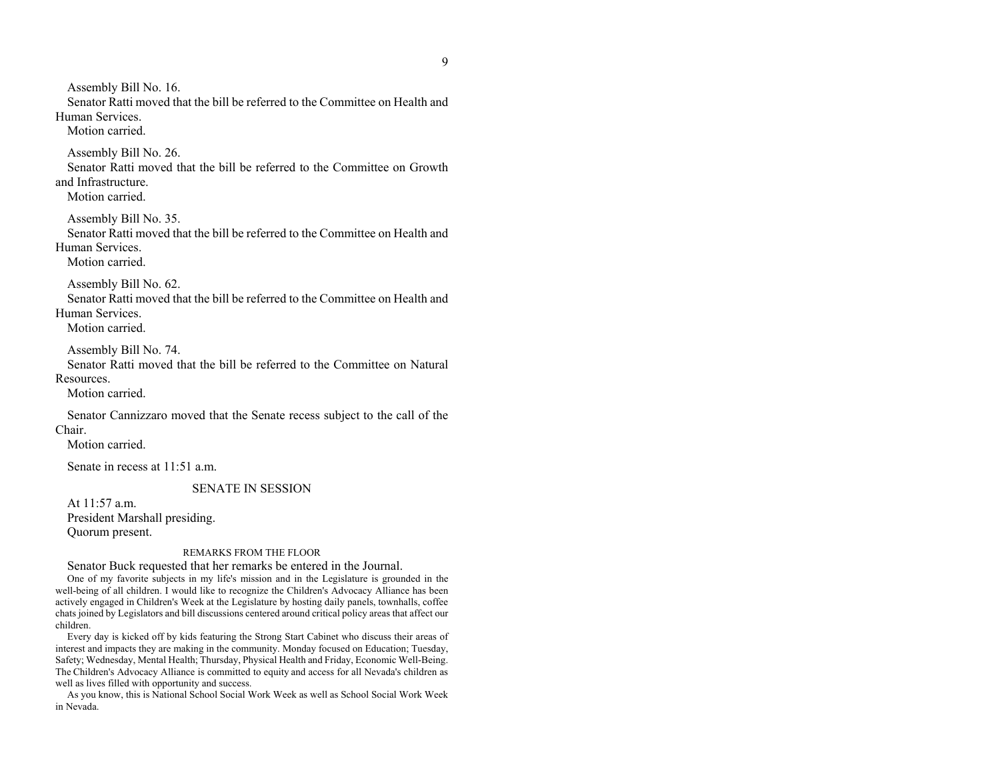Assembly Bill No. 16. Senator Ratti moved that the bill be referred to the Committee on Health and Human Services. Motion carried. Assembly Bill No. 26. Senator Ratti moved that the bill be referred to the Committee on Growth and Infrastructure. Motion carried. Assembly Bill No. 35. Senator Ratti moved that the bill be referred to the Committee on Health and Human Services. Motion carried. Assembly Bill No. 62. Senator Ratti moved that the bill be referred to the Committee on Health and Human Services. Motion carried. Assembly Bill No. 74. Senator Ratti moved that the bill be referred to the Committee on Natural Resources. Motion carried. Senator Cannizzaro moved that the Senate recess subject to the call of the Chair. Motion carried. Senate in recess at 11:51 a.m. SENATE IN SESSION At 11:57 a.m. President Marshall presiding. Quorum present.

# REMARKS FROM THE FLOOR

Senator Buck requested that her remarks be entered in the Journal.

 One of my favorite subjects in my life's mission and in the Legislature is grounded in the well-being of all children. I would like to recognize the Children's Advocacy Alliance has been actively engaged in Children's Week at the Legislature by hosting daily panels, townhalls, coffee chats joined by Legislators and bill discussions centered around critical policy areas that affect our children.

 Every day is kicked off by kids featuring the Strong Start Cabinet who discuss their areas of interest and impacts they are making in the community. Monday focused on Education; Tuesday, Safety; Wednesday, Mental Health; Thursday, Physical Health and Friday, Economic Well-Being. The Children's Advocacy Alliance is committed to equity and access for all Nevada's children as well as lives filled with opportunity and success.

 As you know, this is National School Social Work Week as well as School Social Work Week in Nevada.